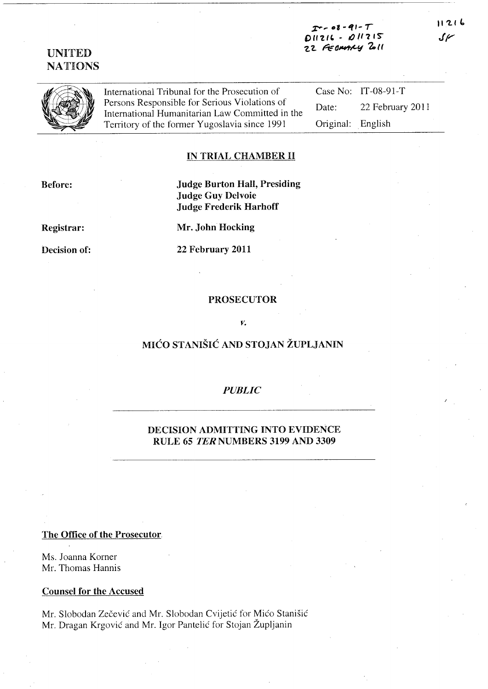$011215$  $011216$ 22 FEDMANY ZOLL  $11216$ سمري



International Tribunal for the Prosecution of Persons Responsible for Serious Violations of International Humanitarian Law Committed in the Territory of the former Yugoslavia since 1991

Case No: IT-08-91-T Date: 22 February 2011 English Original:

### IN TRIAL CHAMBER II

Before:

**Judge Burton Hall, Presiding Judge Guy Delvoie Judge Frederik Harhoff** 

Registrar:

Decision of:

Mr. John Hocking

22 February 2011

#### **PROSECUTOR**

#### γ,

# MIĆO STANIŠIĆ AND STOJAN ŽUPLJANIN

#### **PUBLIC**

### DECISION ADMITTING INTO EVIDENCE RULE 65 TER NUMBERS 3199 AND 3309

#### The Office of the Prosecutor.

Ms. Joanna Korner Mr. Thomas Hannis

#### **Counsel for the Accused**

Mr. Slobodan Zečević and Mr. Slobodan Cvijetić for Mićo Stanišić Mr. Dragan Krgović and Mr. Igor Pantelić for Stojan Župljanin

## **UNITED NATIONS**